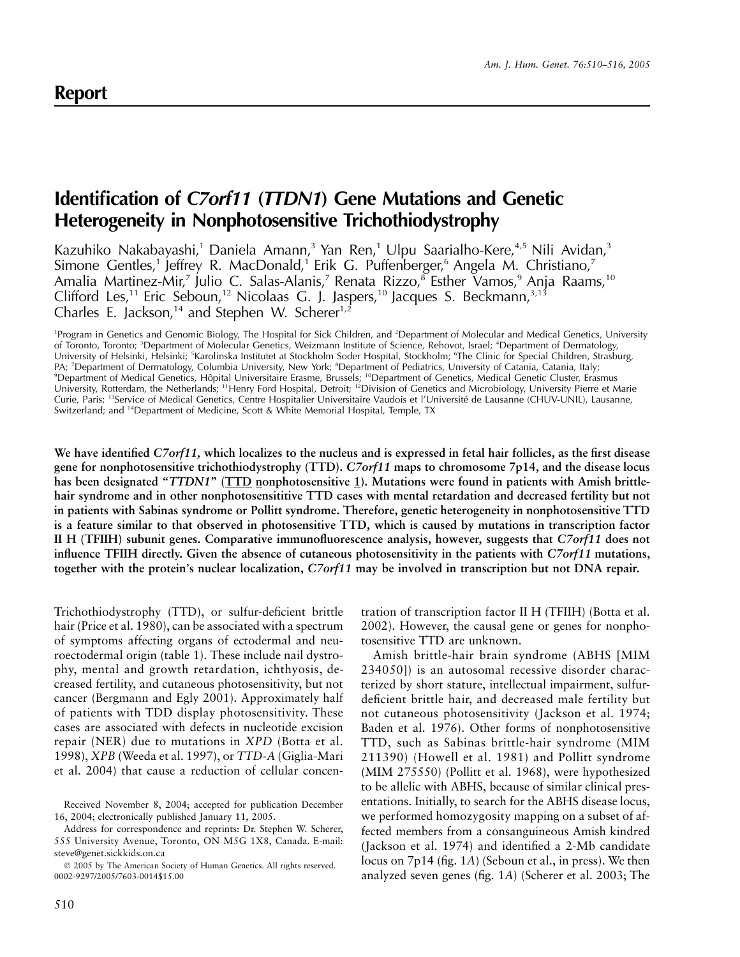# **Identification of** *C7orf11* **(***TTDN1***) Gene Mutations and Genetic Heterogeneity in Nonphotosensitive Trichothiodystrophy**

Kazuhiko Nakabayashi,<sup>1</sup> Daniela Amann,<sup>3</sup> Yan Ren,<sup>1</sup> Ulpu Saarialho-Kere,<sup>4,5</sup> Nili Avidan,<sup>3</sup> Simone Gentles,<sup>1</sup> Jeffrey R. MacDonald,<sup>1</sup> Erik G. Puffenberger,<sup>6</sup> Angela M. Christiano,<sup>7</sup> Amalia Martinez-Mir,<sup>7</sup> Julio C. Salas-Alanis,<sup>7</sup> Renata Rizzo,<sup>8</sup> Esther Vamos,<sup>9</sup> Anja Raams,<sup>10</sup> Clifford Les,<sup>11</sup> Eric Seboun,<sup>12</sup> Nicolaas G. J. Jaspers,<sup>10</sup> Jacques S. Beckmann,<sup>3,13</sup> Charles E. Jackson,<sup>14</sup> and Stephen W. Scherer<sup>1,2</sup>

<sup>1</sup>Program in Genetics and Genomic Biology, The Hospital for Sick Children, and <sup>2</sup>Department of Molecular and Medical Genetics, University of Toronto, Toronto; <sup>3</sup>Department of Molecular Genetics, Weizmann Institute of Science, Rehovot, Israel; <sup>4</sup>Department of Dermatology, University of Helsinki, Helsinki; <sup>5</sup>Karolinska Institutet at Stockholm Soder Hospital, Stockholm; <sup>6</sup>The Clinic for Special Children, Strasburg, PA; <sup>7</sup>Department of Dermatology, Columbia University, New York; <sup>8</sup>Department of Pediatrics, University of Catania, Catania, Italy; <sup>9</sup>Department of Medical Genetics, Hôpital Universitaire Erasme, Brussels; <sup>10</sup>Department of Genetics, Medical Genetic Cluster, Erasmus University, Rotterdam, the Netherlands; <sup>11</sup>Henry Ford Hospital, Detroit; <sup>12</sup>Division of Genetics and Microbiology, University Pierre et Marie Curie, Paris; <sup>13</sup>Service of Medical Genetics, Centre Hospitalier Universitaire Vaudois et l'Université de Lausanne (CHUV-UNIL), Lausanne, Switzerland; and 14Department of Medicine, Scott & White Memorial Hospital, Temple, TX

**We have identified** *C7orf11,* **which localizes to the nucleus and is expressed in fetal hair follicles, as the first disease gene for nonphotosensitive trichothiodystrophy (TTD).** *C7orf11* **maps to chromosome 7p14, and the disease locus has been designated "***TTDN1***" (TTD nonphotosensitive 1). Mutations were found in patients with Amish brittlehair syndrome and in other nonphotosensititive TTD cases with mental retardation and decreased fertility but not in patients with Sabinas syndrome or Pollitt syndrome. Therefore, genetic heterogeneity in nonphotosensitive TTD is a feature similar to that observed in photosensitive TTD, which is caused by mutations in transcription factor II H (TFIIH) subunit genes. Comparative immunofluorescence analysis, however, suggests that** *C7orf11* **does not influence TFIIH directly. Given the absence of cutaneous photosensitivity in the patients with** *C7orf11* **mutations, together with the protein's nuclear localization,** *C7orf11* **may be involved in transcription but not DNA repair.**

Trichothiodystrophy (TTD), or sulfur-deficient brittle hair (Price et al. 1980), can be associated with a spectrum of symptoms affecting organs of ectodermal and neuroectodermal origin (table 1). These include nail dystrophy, mental and growth retardation, ichthyosis, decreased fertility, and cutaneous photosensitivity, but not cancer (Bergmann and Egly 2001). Approximately half of patients with TDD display photosensitivity. These cases are associated with defects in nucleotide excision repair (NER) due to mutations in *XPD* (Botta et al. 1998), *XPB* (Weeda et al. 1997), or *TTD-A* (Giglia-Mari et al. 2004) that cause a reduction of cellular concen-

Received November 8, 2004; accepted for publication December 16, 2004; electronically published January 11, 2005.

Address for correspondence and reprints: Dr. Stephen W. Scherer, 555 University Avenue, Toronto, ON M5G 1X8, Canada. E-mail: steve@genet.sickkids.on.ca

 2005 by The American Society of Human Genetics. All rights reserved. 0002-9297/2005/7603-0014\$15.00

tration of transcription factor II H (TFIIH) (Botta et al. 2002). However, the causal gene or genes for nonphotosensitive TTD are unknown.

Amish brittle-hair brain syndrome (ABHS [MIM 234050]) is an autosomal recessive disorder characterized by short stature, intellectual impairment, sulfurdeficient brittle hair, and decreased male fertility but not cutaneous photosensitivity (Jackson et al. 1974; Baden et al. 1976). Other forms of nonphotosensitive TTD, such as Sabinas brittle-hair syndrome (MIM 211390) (Howell et al. 1981) and Pollitt syndrome (MIM 275550) (Pollitt et al. 1968), were hypothesized to be allelic with ABHS, because of similar clinical presentations. Initially, to search for the ABHS disease locus, we performed homozygosity mapping on a subset of affected members from a consanguineous Amish kindred (Jackson et al. 1974) and identified a 2-Mb candidate locus on 7p14 (fig. 1*A*) (Seboun et al., in press). We then analyzed seven genes (fig. 1*A*) (Scherer et al. 2003; The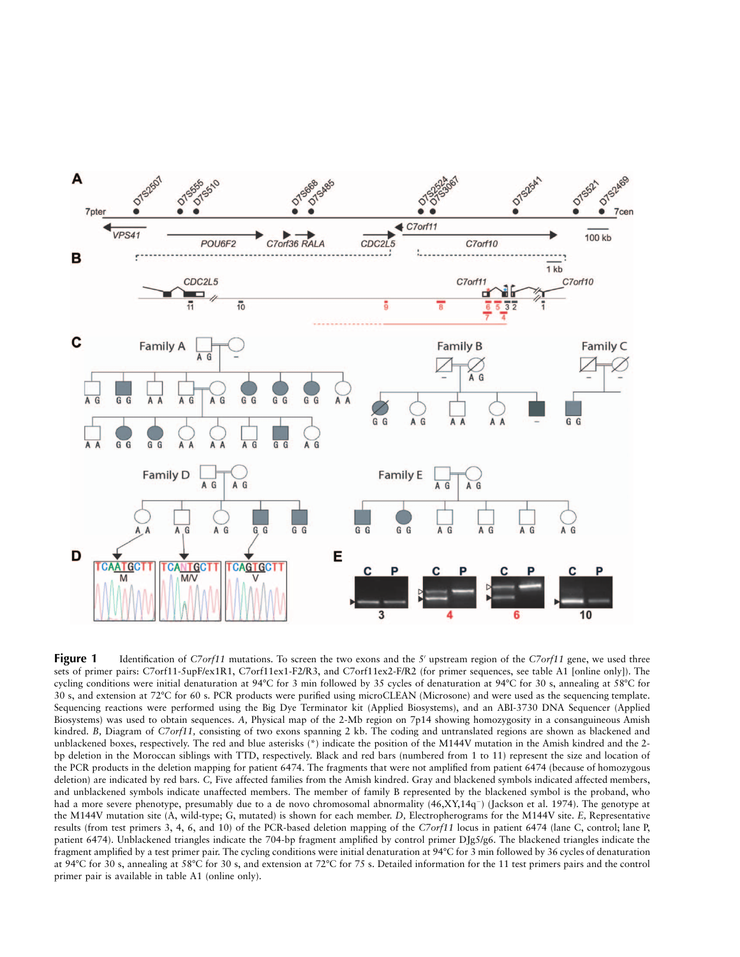

**Figure 1** Identification of *C7orf11* mutations. To screen the two exons and the 5' upstream region of the *C7orf11* gene, we used three sets of primer pairs: C7orf11-5upF/ex1R1, C7orf11ex1-F2/R3, and C7orf11ex2-F/R2 (for primer sequences, see table A1 [online only]). The cycling conditions were initial denaturation at 94°C for 3 min followed by 35 cycles of denaturation at 94°C for 30 s, annealing at 58°C for 30 s, and extension at 72°C for 60 s. PCR products were purified using microCLEAN (Microsone) and were used as the sequencing template. Sequencing reactions were performed using the Big Dye Terminator kit (Applied Biosystems), and an ABI-3730 DNA Sequencer (Applied Biosystems) was used to obtain sequences. *A,* Physical map of the 2-Mb region on 7p14 showing homozygosity in a consanguineous Amish kindred. *B,* Diagram of *C7orf11,* consisting of two exons spanning 2 kb. The coding and untranslated regions are shown as blackened and unblackened boxes, respectively. The red and blue asterisks (\*) indicate the position of the M144V mutation in the Amish kindred and the 2 bp deletion in the Moroccan siblings with TTD, respectively. Black and red bars (numbered from 1 to 11) represent the size and location of the PCR products in the deletion mapping for patient 6474. The fragments that were not amplified from patient 6474 (because of homozygous deletion) are indicated by red bars. *C,* Five affected families from the Amish kindred. Gray and blackened symbols indicated affected members, and unblackened symbols indicate unaffected members. The member of family B represented by the blackened symbol is the proband, who had a more severe phenotype, presumably due to a de novo chromosomal abnormality  $(46, XY, 14q^{-})$  (Jackson et al. 1974). The genotype at the M144V mutation site (A, wild-type; G, mutated) is shown for each member. *D,* Electropherograms for the M144V site. *E,* Representative results (from test primers 3, 4, 6, and 10) of the PCR-based deletion mapping of the *C7orf11* locus in patient 6474 (lane C, control; lane P, patient 6474). Unblackened triangles indicate the 704-bp fragment amplified by control primer DJg5/g6. The blackened triangles indicate the fragment amplified by a test primer pair. The cycling conditions were initial denaturation at 94°C for 3 min followed by 36 cycles of denaturation at 94°C for 30 s, annealing at 58°C for 30 s, and extension at 72°C for 75 s. Detailed information for the 11 test primers pairs and the control primer pair is available in table A1 (online only).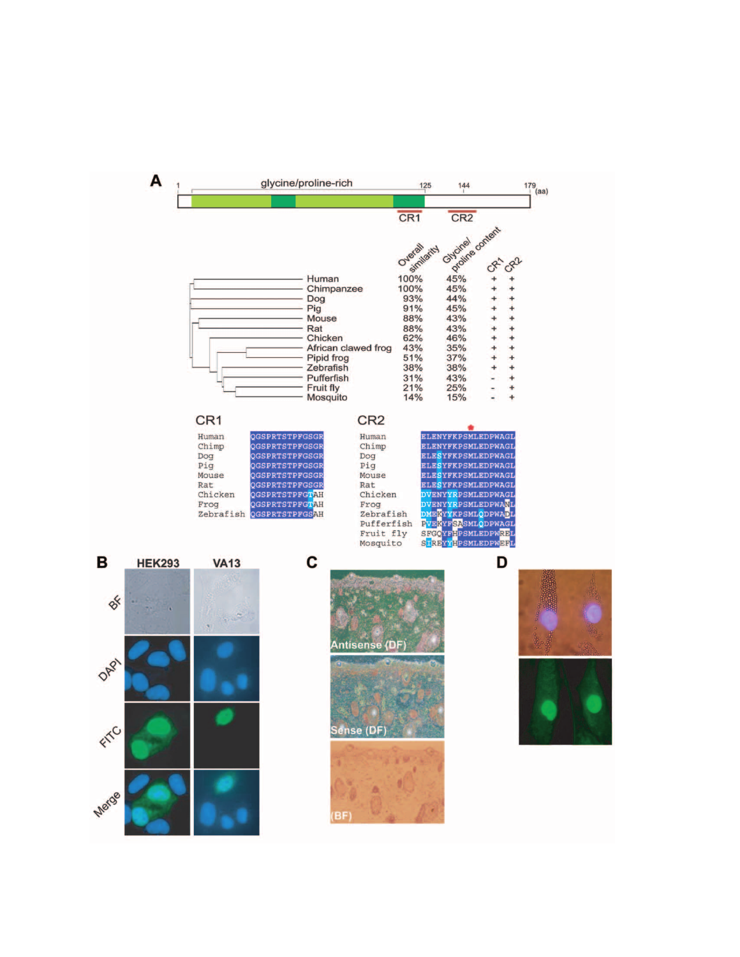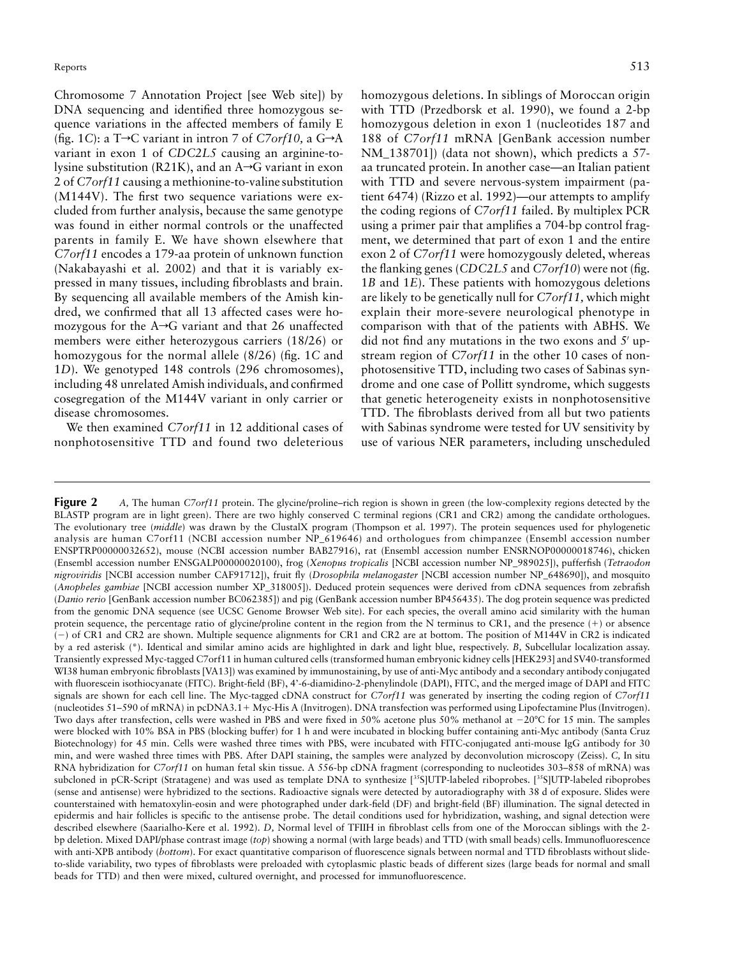Chromosome 7 Annotation Project [see Web site]) by DNA sequencing and identified three homozygous sequence variations in the affected members of family E (fig. 1*C*): a T $\rightarrow$ C variant in intron 7 of *C7orf10*, a G $\rightarrow$ A variant in exon 1 of *CDC2L5* causing an arginine-tolysine substitution (R21K), and an  $A\rightarrow G$  variant in exon 2 of *C7orf11* causing a methionine-to-valine substitution (M144V). The first two sequence variations were excluded from further analysis, because the same genotype was found in either normal controls or the unaffected parents in family E. We have shown elsewhere that *C7orf11* encodes a 179-aa protein of unknown function (Nakabayashi et al. 2002) and that it is variably expressed in many tissues, including fibroblasts and brain. By sequencing all available members of the Amish kindred, we confirmed that all 13 affected cases were homozygous for the  $A\rightarrow G$  variant and that 26 unaffected members were either heterozygous carriers (18/26) or homozygous for the normal allele (8/26) (fig. 1*C* and 1*D*). We genotyped 148 controls (296 chromosomes), including 48 unrelated Amish individuals, and confirmed cosegregation of the M144V variant in only carrier or disease chromosomes.

We then examined *C7orf11* in 12 additional cases of nonphotosensitive TTD and found two deleterious

homozygous deletions. In siblings of Moroccan origin with TTD (Przedborsk et al. 1990), we found a 2-bp homozygous deletion in exon 1 (nucleotides 187 and 188 of *C7orf11* mRNA [GenBank accession number NM\_138701]) (data not shown), which predicts a 57 aa truncated protein. In another case—an Italian patient with TTD and severe nervous-system impairment (patient 6474) (Rizzo et al. 1992)—our attempts to amplify the coding regions of *C7orf11* failed. By multiplex PCR using a primer pair that amplifies a 704-bp control fragment, we determined that part of exon 1 and the entire exon 2 of *C7orf11* were homozygously deleted, whereas the flanking genes (*CDC2L5* and *C7orf10*) were not (fig. 1*B* and 1*E*). These patients with homozygous deletions are likely to be genetically null for *C7orf11,* which might explain their more-severe neurological phenotype in comparison with that of the patients with ABHS. We did not find any mutations in the two exons and  $5'$  upstream region of *C7orf11* in the other 10 cases of nonphotosensitive TTD, including two cases of Sabinas syndrome and one case of Pollitt syndrome, which suggests that genetic heterogeneity exists in nonphotosensitive TTD. The fibroblasts derived from all but two patients with Sabinas syndrome were tested for UV sensitivity by use of various NER parameters, including unscheduled

**Figure 2** *A*, The human *C7orf11* protein. The glycine/proline–rich region is shown in green (the low-complexity regions detected by the BLASTP program are in light green). There are two highly conserved C terminal regions (CR1 and CR2) among the candidate orthologues. The evolutionary tree (*middle*) was drawn by the ClustalX program (Thompson et al. 1997). The protein sequences used for phylogenetic analysis are human C7orf11 (NCBI accession number NP\_619646) and orthologues from chimpanzee (Ensembl accession number ENSPTRP00000032652), mouse (NCBI accession number BAB27916), rat (Ensembl accession number ENSRNOP00000018746), chicken (Ensembl accession number ENSGALP00000020100), frog (*Xenopus tropicalis* [NCBI accession number NP\_989025]), pufferfish (*Tetraodon nigroviridis* [NCBI accession number CAF91712]), fruit fly (*Drosophila melanogaster* [NCBI accession number NP\_648690]), and mosquito (*Anopheles gambiae* [NCBI accession number XP\_318005]). Deduced protein sequences were derived from cDNA sequences from zebrafish (*Danio rerio* [GenBank accession number BC062385]) and pig (GenBank accession number BP456435). The dog protein sequence was predicted from the genomic DNA sequence (see UCSC Genome Browser Web site). For each species, the overall amino acid similarity with the human protein sequence, the percentage ratio of glycine/proline content in the region from the N terminus to CR1, and the presence  $(+)$  or absence () of CR1 and CR2 are shown. Multiple sequence alignments for CR1 and CR2 are at bottom. The position of M144V in CR2 is indicated by a red asterisk (\*). Identical and similar amino acids are highlighted in dark and light blue, respectively. *B,* Subcellular localization assay. Transiently expressed Myc-tagged C7orf11 in human cultured cells (transformed human embryonic kidney cells [HEK293] and SV40-transformed WI38 human embryonic fibroblasts [VA13]) was examined by immunostaining, by use of anti-Myc antibody and a secondary antibody conjugated with fluorescein isothiocyanate (FITC). Bright-field (BF), 4'-6-diamidino-2-phenylindole (DAPI), FITC, and the merged image of DAPI and FITC signals are shown for each cell line. The Myc-tagged cDNA construct for *C7orf11* was generated by inserting the coding region of *C7orf11* (nucleotides 51–590 of mRNA) in pcDNA3.1- Myc-His A (Invitrogen). DNA transfection was performed using Lipofectamine Plus (Invitrogen). Two days after transfection, cells were washed in PBS and were fixed in 50% acetone plus 50% methanol at –20°C for 15 min. The samples were blocked with 10% BSA in PBS (blocking buffer) for 1 h and were incubated in blocking buffer containing anti-Myc antibody (Santa Cruz Biotechnology) for 45 min. Cells were washed three times with PBS, were incubated with FITC-conjugated anti-mouse IgG antibody for 30 min, and were washed three times with PBS. After DAPI staining, the samples were analyzed by deconvolution microscopy (Zeiss). *C,* In situ RNA hybridization for *C7orf11* on human fetal skin tissue. A 556-bp cDNA fragment (corresponding to nucleotides 303–858 of mRNA) was subcloned in pCR-Script (Stratagene) and was used as template DNA to synthesize [<sup>35</sup>S]UTP-labeled riboprobes. [<sup>35</sup>S]UTP-labeled riboprobes (sense and antisense) were hybridized to the sections. Radioactive signals were detected by autoradiography with 38 d of exposure. Slides were counterstained with hematoxylin-eosin and were photographed under dark-field (DF) and bright-field (BF) illumination. The signal detected in epidermis and hair follicles is specific to the antisense probe. The detail conditions used for hybridization, washing, and signal detection were described elsewhere (Saarialho-Kere et al. 1992). *D,* Normal level of TFIIH in fibroblast cells from one of the Moroccan siblings with the 2 bp deletion. Mixed DAPI/phase contrast image (*top*) showing a normal (with large beads) and TTD (with small beads) cells. Immunofluorescence with anti-XPB antibody (*bottom*). For exact quantitative comparison of fluorescence signals between normal and TTD fibroblasts without slideto-slide variability, two types of fibroblasts were preloaded with cytoplasmic plastic beads of different sizes (large beads for normal and small beads for TTD) and then were mixed, cultured overnight, and processed for immunofluorescence.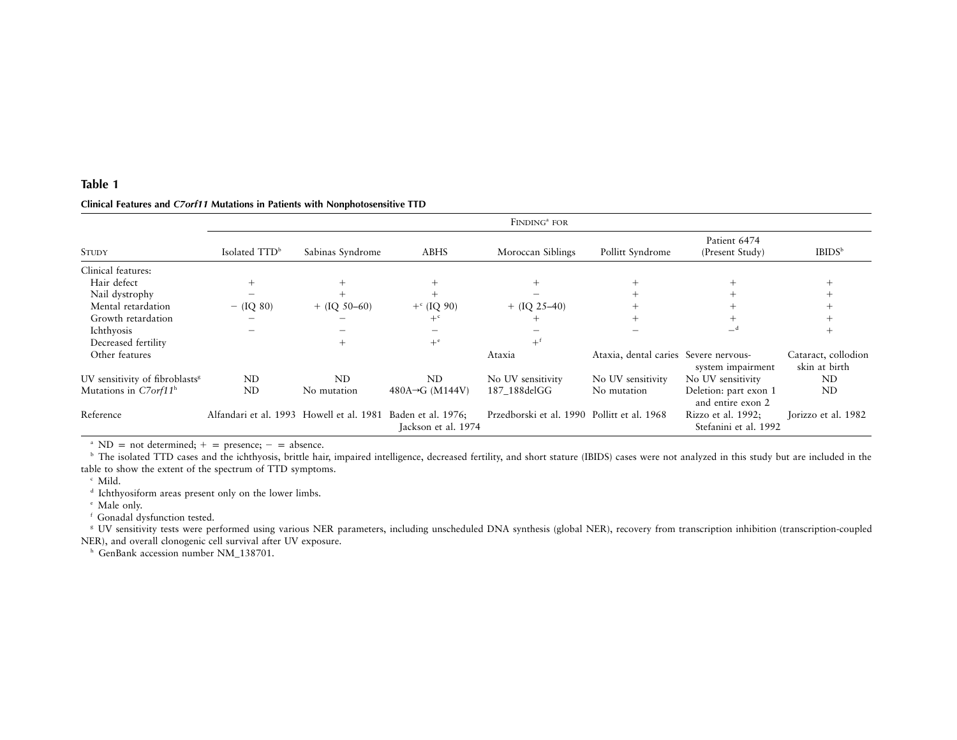#### **Table 1**

| <b>STUDY</b>                               | FINDING <sup>a</sup> FOR                                    |                  |                              |                                             |                                       |                                             |                                      |
|--------------------------------------------|-------------------------------------------------------------|------------------|------------------------------|---------------------------------------------|---------------------------------------|---------------------------------------------|--------------------------------------|
|                                            | Isolated TTD <sup>b</sup>                                   | Sabinas Syndrome | ABHS                         | Moroccan Siblings                           | Pollitt Syndrome                      | Patient 6474<br>(Present Study)             | IBIDS <sup>b</sup>                   |
| Clinical features:                         |                                                             |                  |                              |                                             |                                       |                                             |                                      |
| Hair defect                                |                                                             |                  |                              |                                             |                                       |                                             |                                      |
| Nail dystrophy                             |                                                             |                  |                              |                                             |                                       |                                             |                                      |
| Mental retardation                         | $-$ (IQ 80)                                                 | $+$ (IQ 50–60)   | $+$ <sup>c</sup> (IQ 90)     | $+ (IQ 25-40)$                              |                                       |                                             |                                      |
| Growth retardation                         |                                                             |                  | $+$ <sup>c</sup>             |                                             |                                       |                                             |                                      |
| Ichthyosis                                 |                                                             |                  |                              |                                             |                                       |                                             |                                      |
| Decreased fertility                        |                                                             | $^{+}$           | $+$ <sup>e</sup>             |                                             |                                       |                                             |                                      |
| Other features                             |                                                             |                  |                              | Ataxia                                      | Ataxia, dental caries Severe nervous- | system impairment                           | Cataract, collodion<br>skin at birth |
| UV sensitivity of fibroblasts <sup>8</sup> | ND                                                          | ND               | ND                           | No UV sensitivity                           | No UV sensitivity                     | No UV sensitivity                           | ND                                   |
| Mutations in $C7orf11h$                    | N <sub>D</sub>                                              | No mutation      | 480A $\rightarrow$ G (M144V) | 187 188delGG                                | No mutation                           | Deletion: part exon 1<br>and entire exon 2  | ND                                   |
| Reference                                  | Alfandari et al. 1993 Howell et al. 1981 Baden et al. 1976; |                  | Jackson et al. 1974          | Przedborski et al. 1990 Pollitt et al. 1968 |                                       | Rizzo et al. 1992;<br>Stefanini et al. 1992 | Jorizzo et al. 1982                  |

#### **Clinical Features and** *C7orf11* **Mutations in Patients with Nonphotosensitive TTD**

<sup>a</sup> ND = not determined;  $+$  = presence; - = absence.

**b** The isolated TTD cases and the ichthyosis, brittle hair, impaired intelligence, decreased fertility, and short stature (IBIDS) cases were not analyzed in this study but are included in the table to show the extent of the spectrum of TTD symptoms.

c Mild.

d Ichthyosiform areas presen<sup>t</sup> only on the lower limbs.

e Male only.

f Gonadal dysfunction tested.

<sup>8</sup> UV sensitivity tests were performed using various NER parameters, including unscheduled DNA synthesis (global NER), recovery from transcription inhibition (transcription-coupled NER), and overall clonogenic cell survival after UV exposure.

<sup>h</sup> GenBank accession number NM\_138701.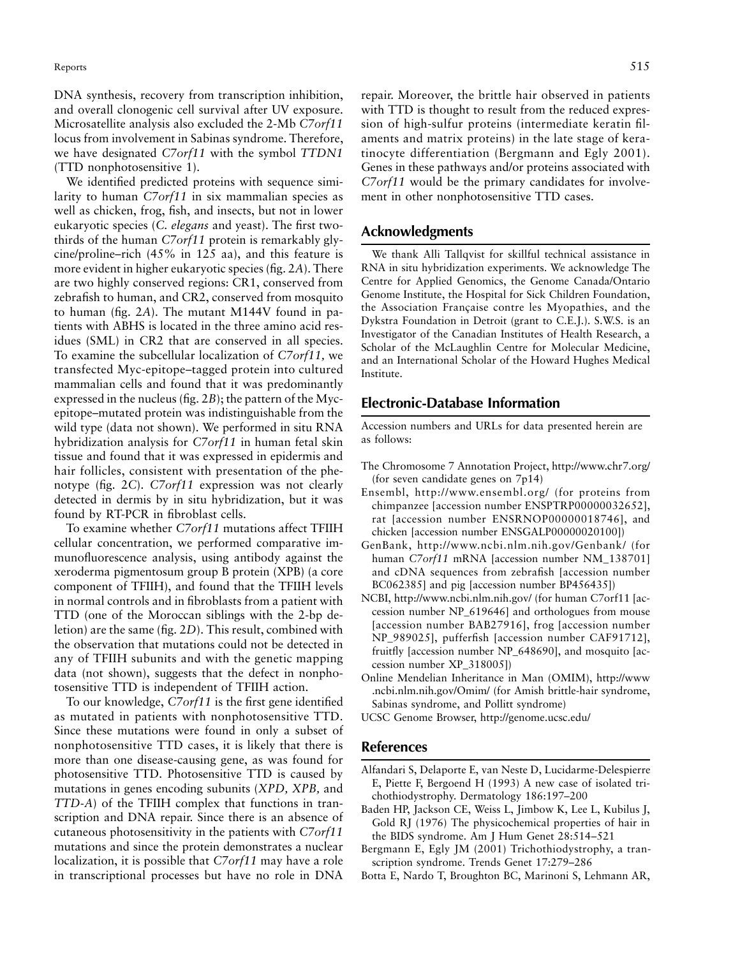DNA synthesis, recovery from transcription inhibition, and overall clonogenic cell survival after UV exposure. Microsatellite analysis also excluded the 2-Mb *C7orf11* locus from involvement in Sabinas syndrome. Therefore, we have designated *C7orf11* with the symbol *TTDN1* (TTD nonphotosensitive 1).

We identified predicted proteins with sequence similarity to human *C7orf11* in six mammalian species as well as chicken, frog, fish, and insects, but not in lower eukaryotic species (*C. elegans* and yeast). The first twothirds of the human *C7orf11* protein is remarkably glycine/proline–rich (45% in 125 aa), and this feature is more evident in higher eukaryotic species (fig. 2*A*). There are two highly conserved regions: CR1, conserved from zebrafish to human, and CR2, conserved from mosquito to human (fig. 2*A*). The mutant M144V found in patients with ABHS is located in the three amino acid residues (SML) in CR2 that are conserved in all species. To examine the subcellular localization of *C7orf11,* we transfected Myc-epitope–tagged protein into cultured mammalian cells and found that it was predominantly expressed in the nucleus (fig. 2*B*); the pattern of the Mycepitope–mutated protein was indistinguishable from the wild type (data not shown). We performed in situ RNA hybridization analysis for *C7orf11* in human fetal skin tissue and found that it was expressed in epidermis and hair follicles, consistent with presentation of the phenotype (fig. 2*C*). *C7orf11* expression was not clearly detected in dermis by in situ hybridization, but it was found by RT-PCR in fibroblast cells.

To examine whether *C7orf11* mutations affect TFIIH cellular concentration, we performed comparative immunofluorescence analysis, using antibody against the xeroderma pigmentosum group B protein (XPB) (a core component of TFIIH), and found that the TFIIH levels in normal controls and in fibroblasts from a patient with TTD (one of the Moroccan siblings with the 2-bp deletion) are the same (fig. 2*D*). This result, combined with the observation that mutations could not be detected in any of TFIIH subunits and with the genetic mapping data (not shown), suggests that the defect in nonphotosensitive TTD is independent of TFIIH action.

To our knowledge, *C7orf11* is the first gene identified as mutated in patients with nonphotosensitive TTD. Since these mutations were found in only a subset of nonphotosensitive TTD cases, it is likely that there is more than one disease-causing gene, as was found for photosensitive TTD. Photosensitive TTD is caused by mutations in genes encoding subunits (*XPD, XPB,* and *TTD-A*) of the TFIIH complex that functions in transcription and DNA repair. Since there is an absence of cutaneous photosensitivity in the patients with *C7orf11* mutations and since the protein demonstrates a nuclear localization, it is possible that *C7orf11* may have a role in transcriptional processes but have no role in DNA

repair. Moreover, the brittle hair observed in patients with TTD is thought to result from the reduced expression of high-sulfur proteins (intermediate keratin filaments and matrix proteins) in the late stage of keratinocyte differentiation (Bergmann and Egly 2001). Genes in these pathways and/or proteins associated with *C7orf11* would be the primary candidates for involvement in other nonphotosensitive TTD cases.

## **Acknowledgments**

We thank Alli Tallqvist for skillful technical assistance in RNA in situ hybridization experiments. We acknowledge The Centre for Applied Genomics, the Genome Canada/Ontario Genome Institute, the Hospital for Sick Children Foundation, the Association Française contre les Myopathies, and the Dykstra Foundation in Detroit (grant to C.E.J.). S.W.S. is an Investigator of the Canadian Institutes of Health Research, a Scholar of the McLaughlin Centre for Molecular Medicine, and an International Scholar of the Howard Hughes Medical Institute.

### **Electronic-Database Information**

Accession numbers and URLs for data presented herein are as follows:

- The Chromosome 7 Annotation Project, http://www.chr7.org/ (for seven candidate genes on 7p14)
- Ensembl, http://www.ensembl.org/ (for proteins from chimpanzee [accession number ENSPTRP00000032652], rat [accession number ENSRNOP00000018746], and chicken [accession number ENSGALP00000020100])
- GenBank, http://www.ncbi.nlm.nih.gov/Genbank/ (for human *C7orf11* mRNA [accession number NM\_138701] and cDNA sequences from zebrafish [accession number BC062385] and pig [accession number BP456435])
- NCBI, http://www.ncbi.nlm.nih.gov/ (for human C7orf11 [accession number NP\_619646] and orthologues from mouse [accession number BAB27916], frog [accession number NP\_989025], pufferfish [accession number CAF91712], fruitfly [accession number NP\_648690], and mosquito [accession number XP\_318005])
- Online Mendelian Inheritance in Man (OMIM), http://www .ncbi.nlm.nih.gov/Omim/ (for Amish brittle-hair syndrome, Sabinas syndrome, and Pollitt syndrome)
- UCSC Genome Browser, http://genome.ucsc.edu/

## **References**

- Alfandari S, Delaporte E, van Neste D, Lucidarme-Delespierre E, Piette F, Bergoend H (1993) A new case of isolated trichothiodystrophy. Dermatology 186:197–200
- Baden HP, Jackson CE, Weiss L, Jimbow K, Lee L, Kubilus J, Gold RJ (1976) The physicochemical properties of hair in the BIDS syndrome. Am J Hum Genet 28:514–521
- Bergmann E, Egly JM (2001) Trichothiodystrophy, a transcription syndrome. Trends Genet 17:279–286
- Botta E, Nardo T, Broughton BC, Marinoni S, Lehmann AR,